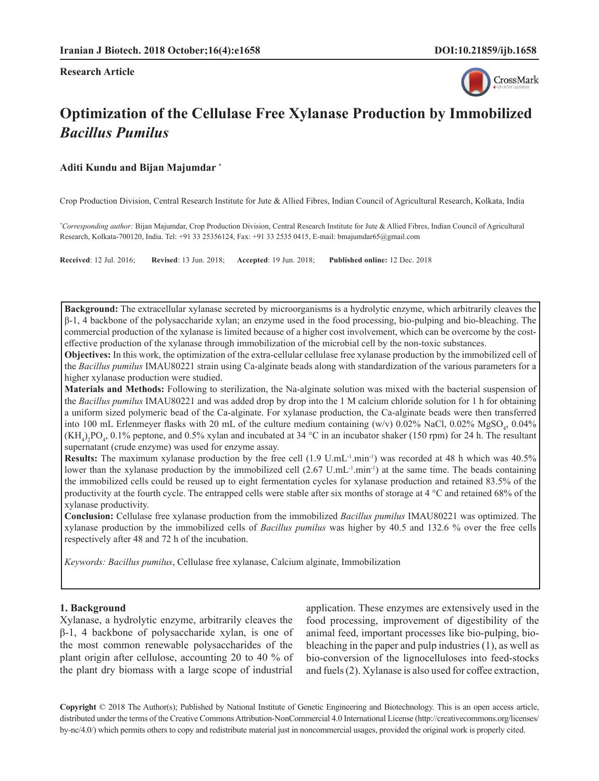**Research Article**



# **Optimization of the Cellulase Free Xylanase Production by Immobilized**  *Bacillus Pumilus*

## **Aditi Kundu and Bijan Majumdar \***

Crop Production Division, Central Research Institute for Jute & Allied Fibres, Indian Council of Agricultural Research, Kolkata, India

*\* Corresponding author:* Bijan Majumdar, Crop Production Division, Central Research Institute for Jute & Allied Fibres, Indian Council of Agricultural Research, Kolkata-700120, India. Tel: +91 33 25356124, Fax: +91 33 2535 0415, E-mail: bmajumdar65@gmail.com

**Received**: 12 Jul. 2016; **Revised**: 13 Jun. 2018; **Accepted**: 19 Jun. 2018; **Published online:** 12 Dec. 2018

**Background:** The extracellular xylanase secreted by microorganisms is a hydrolytic enzyme, which arbitrarily cleaves the β-1, 4 backbone of the polysaccharide xylan; an enzyme used in the food processing, bio-pulping and bio-bleaching. The commercial production of the xylanase is limited because of a higher cost involvement, which can be overcome by the costeffective production of the xylanase through immobilization of the microbial cell by the non-toxic substances.

**Objectives:** In this work, the optimization of the extra-cellular cellulase free xylanase production by the immobilized cell of the *Bacillus pumilus* IMAU80221 strain using Ca-alginate beads along with standardization of the various parameters for a higher xylanase production were studied.

**Materials and Methods:** Following to sterilization, the Na-alginate solution was mixed with the bacterial suspension of the *Bacillus pumilus* IMAU80221 and was added drop by drop into the 1 M calcium chloride solution for 1 h for obtaining a uniform sized polymeric bead of the Ca-alginate. For xylanase production, the Ca-alginate beads were then transferred into 100 mL Erlenmeyer flasks with 20 mL of the culture medium containing (w/v)  $0.02\%$  NaCl,  $0.02\%$  MgSO<sub>4</sub>,  $0.04\%$  $(KH_4)_2PO_4$ , 0.1% peptone, and 0.5% xylan and incubated at 34 °C in an incubator shaker (150 rpm) for 24 h. The resultant supernatant (crude enzyme) was used for enzyme assay.

**Results:** The maximum xylanase production by the free cell (1.9 U.mL<sup>-1</sup>.min<sup>-1</sup>) was recorded at 48 h which was 40.5% lower than the xylanase production by the immobilized cell  $(2.67 \text{ U.mL}^{-1} \text{.min}^{-1})$  at the same time. The beads containing the immobilized cells could be reused up to eight fermentation cycles for xylanase production and retained 83.5% of the productivity at the fourth cycle. The entrapped cells were stable after six months of storage at 4 °C and retained 68% of the xylanase productivity.

**Conclusion:** Cellulase free xylanase production from the immobilized *Bacillus pumilus* IMAU80221 was optimized. The xylanase production by the immobilized cells of *Bacillus pumilus* was higher by 40.5 and 132.6 % over the free cells respectively after 48 and 72 h of the incubation.

*Keywords: Bacillus pumilus*, Cellulase free xylanase, Calcium alginate, Immobilization

#### **1. Background**

Xylanase, a hydrolytic enzyme, arbitrarily cleaves the β-1, 4 backbone of polysaccharide xylan, is one of the most common renewable polysaccharides of the plant origin after cellulose, accounting 20 to 40 % of the plant dry biomass with a large scope of industrial

application. These enzymes are extensively used in the food processing, improvement of digestibility of the animal feed, important processes like bio-pulping, biobleaching in the paper and pulp industries (1), as well as bio-conversion of the lignocelluloses into feed-stocks and fuels (2). Xylanase is also used for coffee extraction,

**Copyright** © 2018 The Author(s); Published by National Institute of Genetic Engineering and Biotechnology. This is an open access article, distributed under the terms of the Creative Commons Attribution-NonCommercial 4.0 International License (http://creativecommons.org/licenses/ by-nc/4.0/) which permits others to copy and redistribute material just in noncommercial usages, provided the original work is properly cited.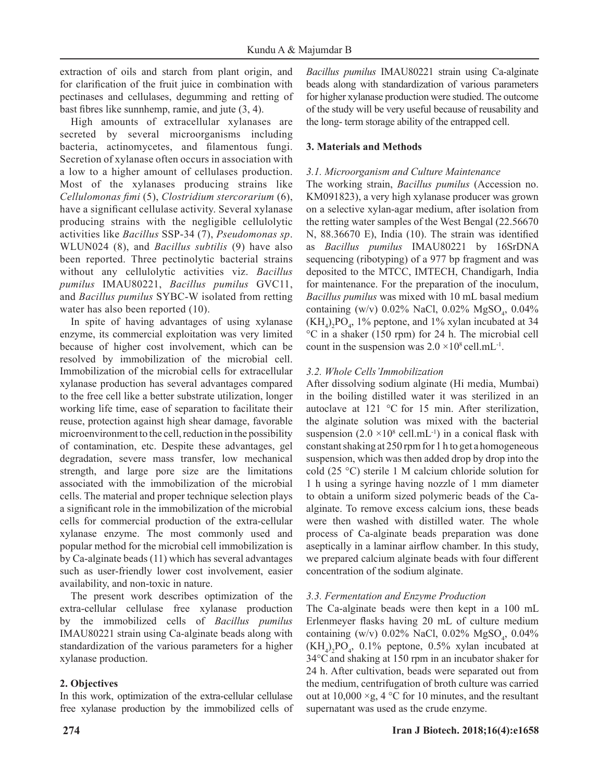extraction of oils and starch from plant origin, and for clarification of the fruit juice in combination with pectinases and cellulases, degumming and retting of bast fibres like sunnhemp, ramie, and jute (3, 4).

High amounts of extracellular xylanases are secreted by several microorganisms including bacteria, actinomycetes, and filamentous fungi. Secretion of xylanase often occurs in association with a low to a higher amount of cellulases production. Most of the xylanases producing strains like *Cellulomonas fimi* (5), *Clostridium stercorarium* (6), have a significant cellulase activity. Several xylanase producing strains with the negligible cellulolytic activities like *Bacillus* SSP-34 (7), *Pseudomonas sp*. WLUN024 (8), and *Bacillus subtilis* (9) have also been reported. Three pectinolytic bacterial strains without any cellulolytic activities viz. *Bacillus pumilus* IMAU80221, *Bacillus pumilus* GVC11, and *Bacillus pumilus* SYBC-W isolated from retting water has also been reported (10).

In spite of having advantages of using xylanase enzyme, its commercial exploitation was very limited because of higher cost involvement, which can be resolved by immobilization of the microbial cell. Immobilization of the microbial cells for extracellular xylanase production has several advantages compared to the free cell like a better substrate utilization, longer working life time, ease of separation to facilitate their reuse, protection against high shear damage, favorable microenvironment to the cell, reduction in the possibility of contamination, etc. Despite these advantages, gel degradation, severe mass transfer, low mechanical strength, and large pore size are the limitations associated with the immobilization of the microbial cells. The material and proper technique selection plays a significant role in the immobilization of the microbial cells for commercial production of the extra-cellular xylanase enzyme. The most commonly used and popular method for the microbial cell immobilization is by Ca-alginate beads (11) which has several advantages such as user-friendly lower cost involvement, easier availability, and non-toxic in nature.

The present work describes optimization of the extra-cellular cellulase free xylanase production by the immobilized cells of *Bacillus pumilus* IMAU80221 strain using Ca-alginate beads along with standardization of the various parameters for a higher xylanase production.

# **2. Objectives**

In this work, optimization of the extra-cellular cellulase free xylanase production by the immobilized cells of *Bacillus pumilus* IMAU80221 strain using Ca-alginate beads along with standardization of various parameters for higher xylanase production were studied. The outcome of the study will be very useful because of reusability and the long- term storage ability of the entrapped cell.

# **3. Materials and Methods**

# *3.1. Microorganism and Culture Maintenance*

The working strain, *Bacillus pumilus* (Accession no. KM091823), a very high xylanase producer was grown on a selective xylan-agar medium, after isolation from the retting water samples of the West Bengal (22.56670 N, 88.36670 E), India (10). The strain was identified as *Bacillus pumilus* IMAU80221 by 16SrDNA sequencing (ribotyping) of a 977 bp fragment and was deposited to the MTCC, IMTECH, Chandigarh, India for maintenance. For the preparation of the inoculum, *Bacillus pumilus* was mixed with 10 mL basal medium containing (w/v)  $0.02\%$  NaCl,  $0.02\%$  MgSO<sub>4</sub>,  $0.04\%$  $(KH_4)_2PO_4$ , 1% peptone, and 1% xylan incubated at 34 °C in a shaker (150 rpm) for 24 h. The microbial cell count in the suspension was  $2.0 \times 10^8$  cell.mL<sup>-1</sup>.

# *3.2. Whole Cells'Immobilization*

After dissolving sodium alginate (Hi media, Mumbai) in the boiling distilled water it was sterilized in an autoclave at 121 °C for 15 min. After sterilization, the alginate solution was mixed with the bacterial suspension  $(2.0 \times 10^8 \text{ cell.mL}^{-1})$  in a conical flask with constant shaking at 250 rpm for 1 h to get a homogeneous suspension, which was then added drop by drop into the cold (25 °C) sterile 1 M calcium chloride solution for 1 h using a syringe having nozzle of 1 mm diameter to obtain a uniform sized polymeric beads of the Caalginate. To remove excess calcium ions, these beads were then washed with distilled water. The whole process of Ca-alginate beads preparation was done aseptically in a laminar airflow chamber. In this study, we prepared calcium alginate beads with four different concentration of the sodium alginate.

# *3.3. Fermentation and Enzyme Production*

The Ca-alginate beads were then kept in a 100 mL Erlenmeyer flasks having 20 mL of culture medium containing (w/v)  $0.02\%$  NaCl,  $0.02\%$  MgSO<sub>4</sub>,  $0.04\%$  $(KH_4)_2PO_4$ , 0.1% peptone, 0.5% xylan incubated at 34°Cand shaking at 150 rpm in an incubator shaker for 24 h. After cultivation, beads were separated out from the medium, centrifugation of broth culture was carried out at  $10,000 \times g$ , 4 °C for 10 minutes, and the resultant supernatant was used as the crude enzyme.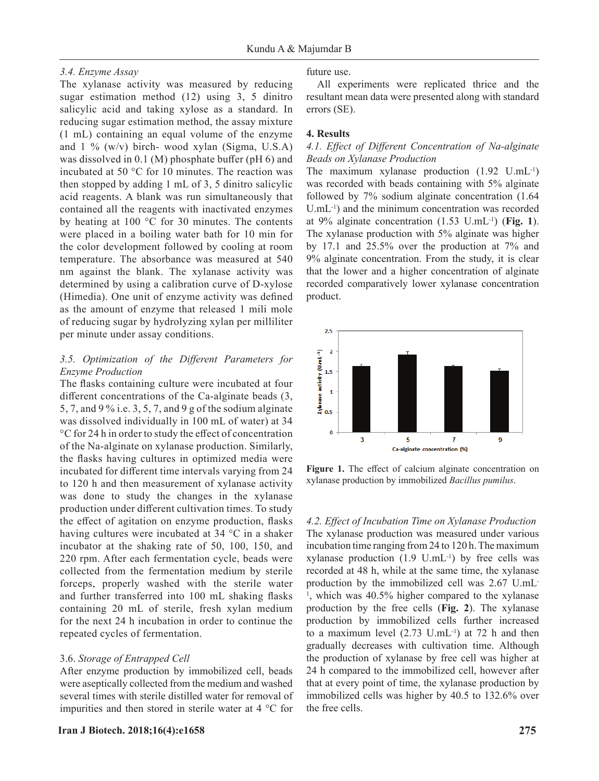## *3.4. Enzyme Assay*

The xylanase activity was measured by reducing sugar estimation method (12) using 3, 5 dinitro salicylic acid and taking xylose as a standard. In reducing sugar estimation method, the assay mixture (1 mL) containing an equal volume of the enzyme and  $1\%$  (w/v) birch- wood xylan (Sigma, U.S.A) was dissolved in 0.1 (M) phosphate buffer (pH 6) and incubated at 50 °C for 10 minutes. The reaction was then stopped by adding 1 mL of 3, 5 dinitro salicylic acid reagents. A blank was run simultaneously that contained all the reagents with inactivated enzymes by heating at 100 °C for 30 minutes. The contents were placed in a boiling water bath for 10 min for the color development followed by cooling at room temperature. The absorbance was measured at 540 nm against the blank. The xylanase activity was determined by using a calibration curve of D-xylose (Himedia). One unit of enzyme activity was defined as the amount of enzyme that released 1 mili mole of reducing sugar by hydrolyzing xylan per milliliter per minute under assay conditions.

# *3.5. Optimization of the Different Parameters for Enzyme Production*

The flasks containing culture were incubated at four different concentrations of the Ca-alginate beads (3, 5, 7, and 9 % i.e. 3, 5, 7, and 9 g of the sodium alginate was dissolved individually in 100 mL of water) at 34 °C for 24 h in order to study the effect of concentration of the Na-alginate on xylanase production. Similarly, the flasks having cultures in optimized media were incubated for different time intervals varying from 24 to 120 h and then measurement of xylanase activity was done to study the changes in the xylanase production under different cultivation times. To study the effect of agitation on enzyme production, flasks having cultures were incubated at 34 °C in a shaker incubator at the shaking rate of 50, 100, 150, and 220 rpm. After each fermentation cycle, beads were collected from the fermentation medium by sterile forceps, properly washed with the sterile water and further transferred into 100 mL shaking flasks containing 20 mL of sterile, fresh xylan medium for the next 24 h incubation in order to continue the repeated cycles of fermentation.

## 3.6. *Storage of Entrapped Cell*

After enzyme production by immobilized cell, beads were aseptically collected from the medium and washed several times with sterile distilled water for removal of impurities and then stored in sterile water at 4 °C for future use.

All experiments were replicated thrice and the resultant mean data were presented along with standard errors (SE).

## **4. Results**

## *4.1. Effect of Different Concentration of Na-alginate Beads on Xylanase Production*

The maximum xylanase production (1.92 U.mL-1) was recorded with beads containing with 5% alginate followed by 7% sodium alginate concentration (1.64 U.mL-1) and the minimum concentration was recorded at 9% alginate concentration (1.53 U.mL-1) (**Fig. 1**). The xylanase production with 5% alginate was higher by 17.1 and 25.5% over the production at 7% and 9% alginate concentration. From the study, it is clear that the lower and a higher concentration of alginate recorded comparatively lower xylanase concentration product.



**Figure 1.** The effect of calcium alginate concentration on xylanase production by immobilized *Bacillus pumilus*.

*4.2. Effect of Incubation Time on Xylanase Production* The xylanase production was measured under various incubation time ranging from 24 to 120 h. The maximum xylanase production  $(1.9 \text{ U.mL}^{-1})$  by free cells was recorded at 48 h, while at the same time, the xylanase production by the immobilized cell was 2.67 U.mL-<sup>1</sup>, which was 40.5% higher compared to the xylanase production by the free cells (**Fig. 2**). The xylanase production by immobilized cells further increased to a maximum level  $(2.73 \text{ U.mL}^{-1})$  at 72 h and then gradually decreases with cultivation time. Although the production of xylanase by free cell was higher at 24 h compared to the immobilized cell, however after that at every point of time, the xylanase production by immobilized cells was higher by 40.5 to 132.6% over the free cells.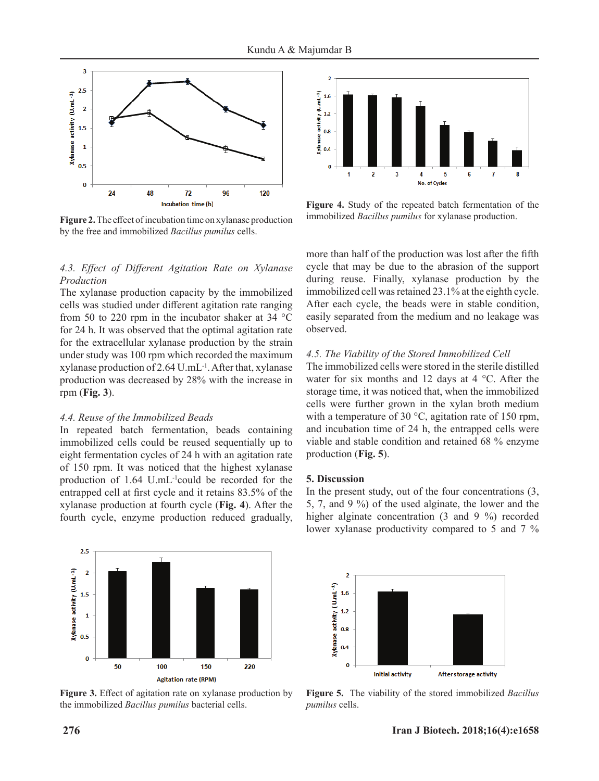

**Figure 2.** The effect of incubation time on xylanase production by the free and immobilized *Bacillus pumilus* cells.

## *4.3. Effect of Different Agitation Rate on Xylanase Production*

The xylanase production capacity by the immobilized cells was studied under different agitation rate ranging from 50 to 220 rpm in the incubator shaker at 34 °C for 24 h. It was observed that the optimal agitation rate for the extracellular xylanase production by the strain under study was 100 rpm which recorded the maximum xylanase production of 2.64 U.mL-1. After that, xylanase production was decreased by 28% with the increase in rpm (**Fig. 3**).

#### *4.4. Reuse of the Immobilized Beads*

In repeated batch fermentation, beads containing immobilized cells could be reused sequentially up to eight fermentation cycles of 24 h with an agitation rate of 150 rpm. It was noticed that the highest xylanase production of 1.64 U.mL-1could be recorded for the entrapped cell at first cycle and it retains 83.5% of the xylanase production at fourth cycle (**Fig. 4**). After the fourth cycle, enzyme production reduced gradually,



**Figure 4.** Study of the repeated batch fermentation of the immobilized *Bacillus pumilus* for xylanase production.

more than half of the production was lost after the fifth cycle that may be due to the abrasion of the support during reuse. Finally, xylanase production by the immobilized cell was retained 23.1% at the eighth cycle. After each cycle, the beads were in stable condition, easily separated from the medium and no leakage was observed.

#### *4.5. The Viability of the Stored Immobilized Cell*

The immobilized cells were stored in the sterile distilled water for six months and 12 days at 4 °C. After the storage time, it was noticed that, when the immobilized cells were further grown in the xylan broth medium with a temperature of 30 °C, agitation rate of 150 rpm, and incubation time of 24 h, the entrapped cells were viable and stable condition and retained 68 % enzyme production (**Fig. 5**).

#### **5. Discussion**

In the present study, out of the four concentrations (3, 5, 7, and 9 %) of the used alginate, the lower and the higher alginate concentration (3 and 9 %) recorded lower xylanase productivity compared to 5 and 7 %



**Figure 3.** Effect of agitation rate on xylanase production by the immobilized *Bacillus pumilus* bacterial cells.



**Figure 5.** The viability of the stored immobilized *Bacillus pumilus* cells.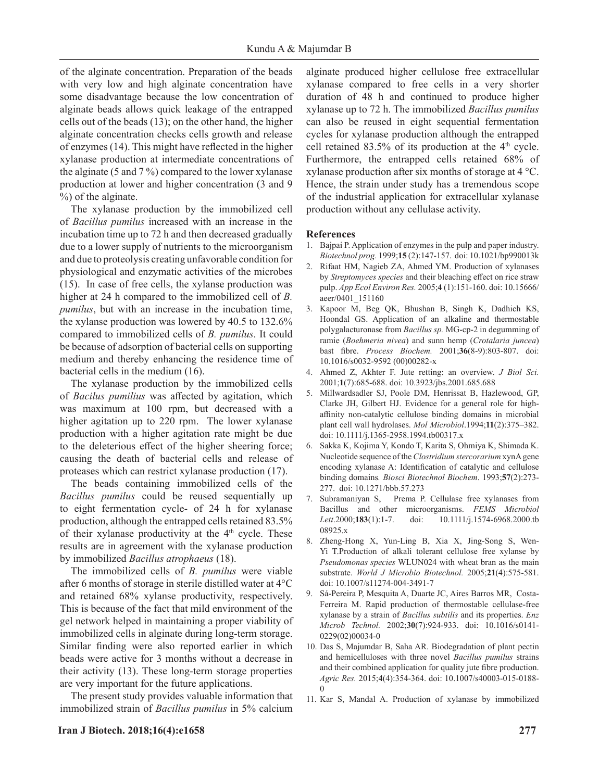of the alginate concentration. Preparation of the beads with very low and high alginate concentration have some disadvantage because the low concentration of alginate beads allows quick leakage of the entrapped cells out of the beads (13); on the other hand, the higher alginate concentration checks cells growth and release of enzymes (14). This might have reflected in the higher xylanase production at intermediate concentrations of the alginate (5 and 7 %) compared to the lower xylanase production at lower and higher concentration (3 and 9 %) of the alginate.

The xylanase production by the immobilized cell of *Bacillus pumilus* increased with an increase in the incubation time up to 72 h and then decreased gradually due to a lower supply of nutrients to the microorganism and due to proteolysis creating unfavorable condition for physiological and enzymatic activities of the microbes (15). In case of free cells, the xylanse production was higher at 24 h compared to the immobilized cell of *B. pumilus*, but with an increase in the incubation time, the xylanse production was lowered by 40.5 to 132.6% compared to immobilized cells of *B. pumilus*. It could be because of adsorption of bacterial cells on supporting medium and thereby enhancing the residence time of bacterial cells in the medium (16).

The xylanase production by the immobilized cells of *Bacilus pumilius* was affected by agitation, which was maximum at 100 rpm, but decreased with a higher agitation up to 220 rpm. The lower xylanase production with a higher agitation rate might be due to the deleterious effect of the higher sheering force; causing the death of bacterial cells and release of proteases which can restrict xylanase production (17).

The beads containing immobilized cells of the *Bacillus pumilus* could be reused sequentially up to eight fermentation cycle- of 24 h for xylanase production, although the entrapped cells retained 83.5% of their xylanase productivity at the 4<sup>th</sup> cycle. These results are in agreement with the xylanase production by immobilized *Bacillus atrophaeus* (18).

The immobilized cells of *B. pumilus* were viable after 6 months of storage in sterile distilled water at 4°C and retained 68% xylanse productivity, respectively. This is because of the fact that mild environment of the gel network helped in maintaining a proper viability of immobilized cells in alginate during long-term storage. Similar finding were also reported earlier in which beads were active for 3 months without a decrease in their activity (13). These long-term storage properties are very important for the future applications.

The present study provides valuable information that immobilized strain of *Bacillus pumilus* in 5% calcium alginate produced higher cellulose free extracellular xylanase compared to free cells in a very shorter duration of 48 h and continued to produce higher xylanase up to 72 h. The immobilized *Bacillus pumilus* can also be reused in eight sequential fermentation cycles for xylanase production although the entrapped cell retained  $83.5\%$  of its production at the  $4<sup>th</sup>$  cycle. Furthermore, the entrapped cells retained 68% of xylanase production after six months of storage at 4 °C. Hence, the strain under study has a tremendous scope of the industrial application for extracellular xylanase production without any cellulase activity.

#### **References**

- 1. Bajpai P. Application of enzymes in the pulp and paper industry. *Biotechnol prog.* 1999;**15** (2):147-157. doi: 10.1021/bp990013k
- 2. Rifaat HM, Nagieb ZA, Ahmed YM. Production of xylanases by *Streptomyces species* and their bleaching effect on rice straw pulp. *App Ecol Environ Res.* 2005;**4** (1):151-160. doi: 10.15666/ aeer/0401\_151160
- 3. Kapoor M, Beg QK, Bhushan B, Singh K, Dadhich KS, Hoondal GS. Application of an alkaline and thermostable polygalacturonase from *Bacillus sp.* MG-cp-2 in degumming of ramie (*Boehmeria nivea*) and sunn hemp (*Crotalaria juncea*) bast fibre. *Process Biochem.* 2001;**36**(8-9):803-807. doi: 10.1016/s0032-9592 (00)00282-x
- 4. Ahmed Z, Akhter F. Jute retting: an overview. *J Biol Sci.* 2001;**1**(7):685-688. doi: 10.3923/jbs.2001.685.688
- 5. Millwardsadler SJ, Poole DM, Henrissat B, Hazlewood, GP, Clarke JH, Gilbert HJ. Evidence for a general role for highaffinity non-catalytic cellulose binding domains in microbial plant cell wall hydrolases. *Mol Microbiol*.1994;**11**(2):375–382. doi: 10.1111/j.1365-2958.1994.tb00317.x
- 6. Sakka K, Kojima Y, Kondo T, Karita S, Ohmiya K, Shimada K. Nucleotide sequence of the *Clostridium stercorarium* xynA gene encoding xylanase A: Identification of catalytic and cellulose binding domains*. Biosci Biotechnol Biochem*. 1993;**57**(2):273- 277. doi: 10.1271/bbb.57.273
- 7. Subramaniyan S, Prema P. Cellulase free xylanases from Bacillus and other microorganisms. *FEMS Microbiol Lett*.2000;**183**(1):1-7. doi: 10.1111/j.1574-6968.2000.tb 08925.x
- 8. Zheng-Hong X, Yun-Ling B, Xia X, Jing-Song S, Wen-Yi T.Production of alkali tolerant cellulose free xylanse by *Pseudomonas species* WLUN024 with wheat bran as the main substrate. *World J Microbio Biotechnol.* 2005;**21**(4):575-581. doi: 10.1007/s11274-004-3491-7
- 9. Sá-Pereira P, Mesquita A, Duarte JC, Aires Barros MR, Costa-Ferreira M. Rapid production of thermostable cellulase-free xylanase by a strain of *Bacillus subtilis* and its properties. *Enz Microb Technol.* 2002;**30**(7):924-933. doi: 10.1016/s0141- 0229(02)00034-0
- 10. Das S, Majumdar B, Saha AR. Biodegradation of plant pectin and hemicelluloses with three novel *Bacillus pumilus* strains and their combined application for quality jute fibre production. *Agric Res.* 2015;**4**(4):354-364. doi: 10.1007/s40003-015-0188-  $\theta$
- 11. Kar S, Mandal A. Production of xylanase by immobilized

#### **Iran J Biotech. 2018;16(4):e1658 277**